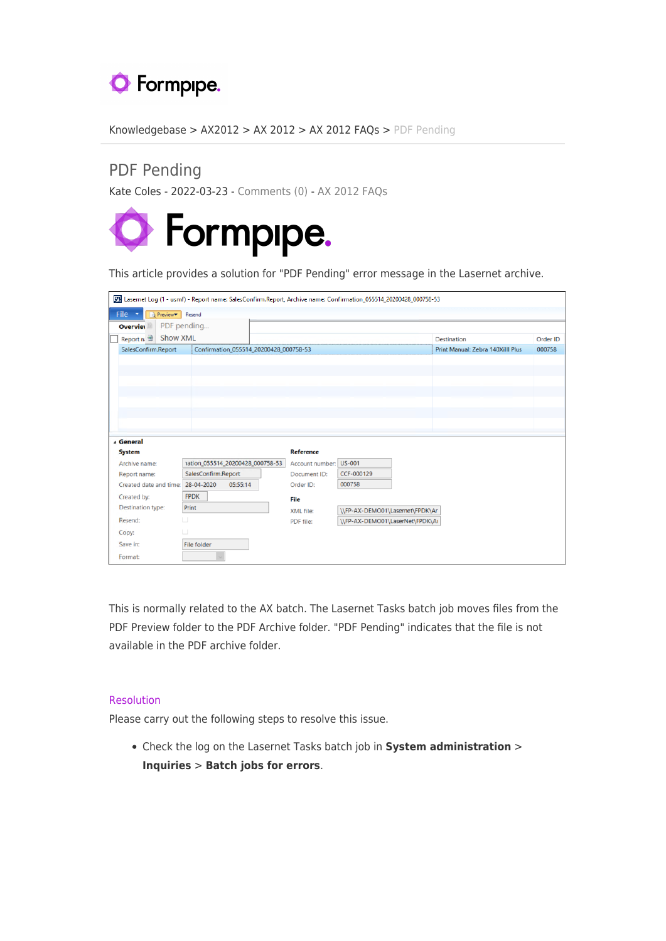

[Knowledgebase](https://support.formpipe.com/kb) > [AX2012](https://support.formpipe.com/kb/ax2012) > [AX 2012](https://support.formpipe.com/kb/ax-2012) > [AX 2012 FAQs](https://support.formpipe.com/kb/ax-2012-faqs) > [PDF Pending](https://support.formpipe.com/kb/articles/pdf-pending-2)

## PDF Pending

Kate Coles - 2022-03-23 - [Comments \(0\)](#page--1-0) - [AX 2012 FAQs](https://support.formpipe.com/kb/ax-2012-faqs)



This article provides a solution for "PDF Pending" error message in the Lasernet archive.

|                                                                                                            | Th Lasernet Log (1 - usmf) - Report name: SalesConfirm.Report, Archive name: Confirmation 055514 20200428 000758-53 |                                        |                                 |                                   |          |
|------------------------------------------------------------------------------------------------------------|---------------------------------------------------------------------------------------------------------------------|----------------------------------------|---------------------------------|-----------------------------------|----------|
| File $\tau$<br>Preview <sup>v</sup> Resend                                                                 |                                                                                                                     |                                        |                                 |                                   |          |
| <b>Overviet</b>                                                                                            | PDF pending                                                                                                         |                                        |                                 |                                   |          |
| Show XML<br>Report $n =$                                                                                   |                                                                                                                     |                                        |                                 | <b>Destination</b>                | Order ID |
| SalesConfirm.Report                                                                                        | Confirmation_055514_20200428_000758-53                                                                              |                                        |                                 | Print Manual: Zebra 140Xilll Plus | 000758   |
|                                                                                                            |                                                                                                                     |                                        |                                 |                                   |          |
|                                                                                                            |                                                                                                                     |                                        |                                 |                                   |          |
|                                                                                                            |                                                                                                                     |                                        |                                 |                                   |          |
|                                                                                                            |                                                                                                                     |                                        |                                 |                                   |          |
|                                                                                                            |                                                                                                                     |                                        |                                 |                                   |          |
|                                                                                                            |                                                                                                                     |                                        |                                 |                                   |          |
|                                                                                                            |                                                                                                                     |                                        |                                 |                                   |          |
|                                                                                                            |                                                                                                                     |                                        |                                 |                                   |          |
| <b>General</b>                                                                                             |                                                                                                                     |                                        |                                 |                                   |          |
| <b>System</b><br>Archive name:                                                                             | 1ation_055514_20200428_000758-53                                                                                    | Reference                              |                                 |                                   |          |
|                                                                                                            | SalesConfirm.Report                                                                                                 | Account number: US-001<br>Document ID: | CCF-000129                      |                                   |          |
|                                                                                                            | 28-04-2020<br>05:55:14                                                                                              | Order ID:                              | 000758                          |                                   |          |
|                                                                                                            | <b>FPDK</b>                                                                                                         | File                                   |                                 |                                   |          |
|                                                                                                            | Print                                                                                                               | XML file:                              | \\FP-AX-DEMO01\Lasernet\FPDK\Ar |                                   |          |
|                                                                                                            | ш                                                                                                                   | PDF file:                              | \\FP-AX-DEMO01\LaserNet\FPDK\Ai |                                   |          |
|                                                                                                            | $\Box$                                                                                                              |                                        |                                 |                                   |          |
| Report name:<br>Created date and time:<br>Created by:<br>Destination type:<br>Resend:<br>Copy:<br>Save in: | <b>File folder</b>                                                                                                  |                                        |                                 |                                   |          |

This is normally related to the AX batch. The Lasernet Tasks batch job moves files from the PDF Preview folder to the PDF Archive folder. "PDF Pending" indicates that the file is not available in the PDF archive folder.

## Resolution

Please carry out the following steps to resolve this issue.

Check the log on the Lasernet Tasks batch job in **System administration** > **Inquiries** > **Batch jobs for errors**.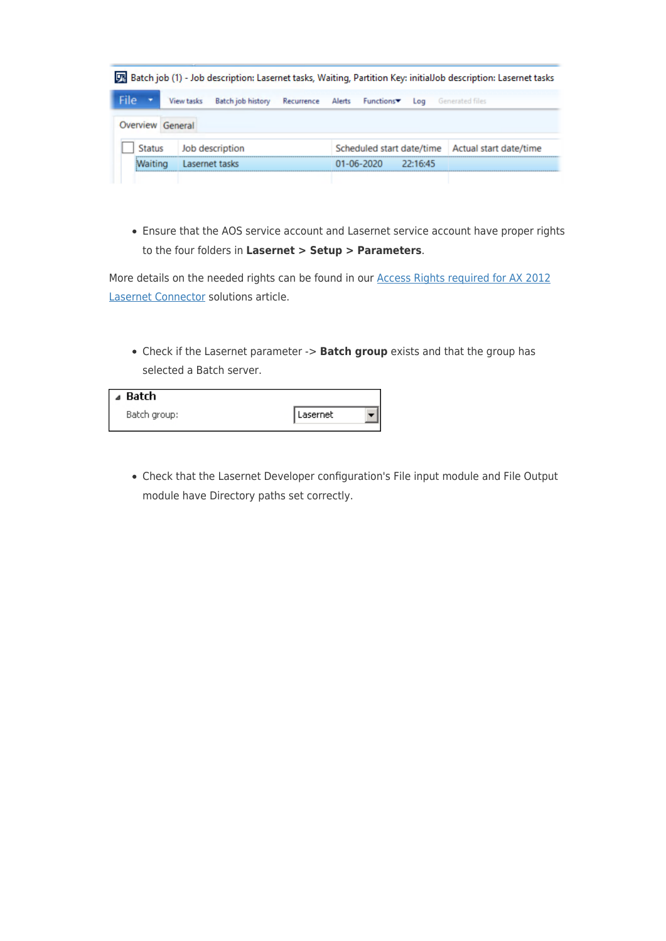|                         |                   |                          |                              |                         | [7] Batch job (1) - Job description: Lasernet tasks, Waiting, Partition Key: initialJob description: Lasernet tasks |  |
|-------------------------|-------------------|--------------------------|------------------------------|-------------------------|---------------------------------------------------------------------------------------------------------------------|--|
| File $\tau$             | <b>View tasks</b> | <b>Batch job history</b> | Recurrence Alerts Functions▼ |                         | Log Generated files                                                                                                 |  |
| <b>Overview General</b> |                   |                          |                              |                         |                                                                                                                     |  |
| <b>Status</b>           |                   | Job description          |                              |                         | Scheduled start date/time   Actual start date/time                                                                  |  |
| <b>Waiting</b>          |                   | Lasernet tasks           |                              | $01-06-2020$ $22:16:45$ |                                                                                                                     |  |
|                         |                   |                          |                              |                         |                                                                                                                     |  |

Ensure that the AOS service account and Lasernet service account have proper rights to the four folders in **Lasernet > Setup > Parameters**.

More details on the needed rights can be found in our [Access Rights required for AX 2012](https://support.formpipe.com/kb/articles/635) [Lasernet Connector](https://support.formpipe.com/kb/articles/635) solutions article.

Check if the Lasernet parameter -> **Batch group** exists and that the group has selected a Batch server.

| ⊿ Batch      |          |  |
|--------------|----------|--|
| Batch group: | Lasernet |  |
|              |          |  |

Check that the Lasernet Developer configuration's File input module and File Output module have Directory paths set correctly.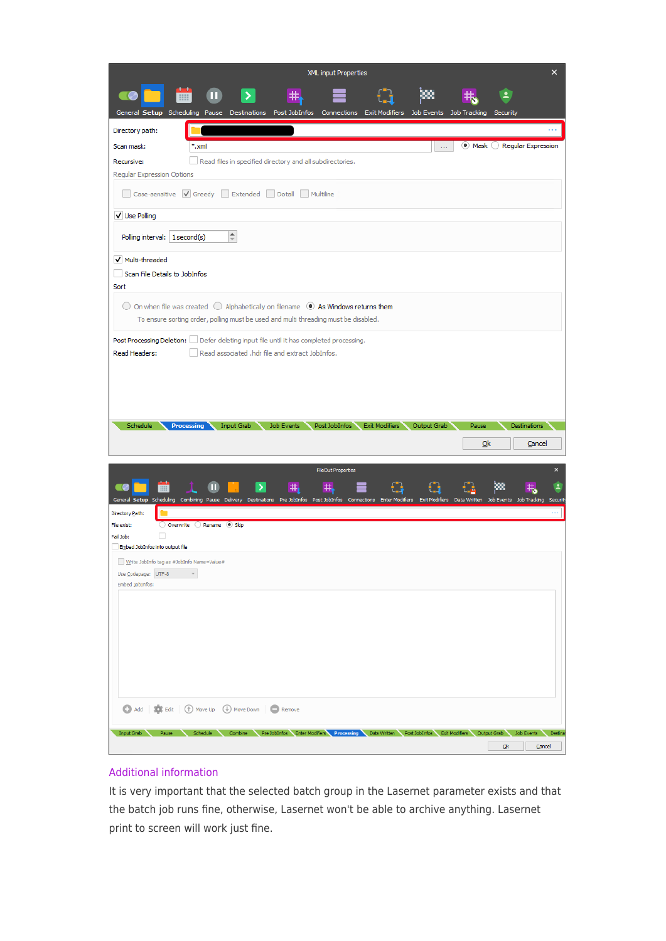| XML input Properties                                                                                                                                                      |                             | ×                  |
|---------------------------------------------------------------------------------------------------------------------------------------------------------------------------|-----------------------------|--------------------|
| 书<br>General Setup Scheduling Pause Destinations Post JobInfos Connections Exit Modifiers Job Events Job Tracking Security                                                |                             |                    |
| Directory path:                                                                                                                                                           |                             |                    |
| Scan mask:<br>*.xml<br>$\mathbf{r}$ and                                                                                                                                   | ● Mask ● Regular Expression |                    |
| Read files in specified directory and all subdirectories.<br>Recursive:                                                                                                   |                             |                    |
| Regular Expression Options                                                                                                                                                |                             |                    |
| Case-sensitive V Greedy Extended Dotall Multiline                                                                                                                         |                             |                    |
| V Use Polling                                                                                                                                                             |                             |                    |
| $\stackrel{\blacktriangle}{\scriptscriptstyle \dashv}$<br>Polling interval:   1 second(s)                                                                                 |                             |                    |
| V Multi-threaded                                                                                                                                                          |                             |                    |
| Scan File Details to JobInfos                                                                                                                                             |                             |                    |
| Sort                                                                                                                                                                      |                             |                    |
| $\bigcirc$ On when file was created $\bigcirc$ Alphabetically on filename $\circledcirc$ As Windows returns them                                                          |                             |                    |
| To ensure sorting order, polling must be used and multi threading must be disabled.                                                                                       |                             |                    |
| Post Processing Deletion: Defer deleting input file until it has completed processing.                                                                                    |                             |                    |
| Read associated .hdr file and extract JobInfos.<br>Read Headers:                                                                                                          |                             |                    |
|                                                                                                                                                                           |                             |                    |
|                                                                                                                                                                           |                             |                    |
|                                                                                                                                                                           |                             |                    |
|                                                                                                                                                                           |                             |                    |
| Schedule<br>Input Grab<br>Job Events<br>Post JobInfos Exit Modifiers Output Grab<br><b>Processing</b>                                                                     | Destinations<br>Pause       |                    |
|                                                                                                                                                                           | Ok                          | Cancel             |
|                                                                                                                                                                           |                             |                    |
| <b>FileOut Properties</b>                                                                                                                                                 |                             | $\mathsf{x}$       |
| #<br>#                                                                                                                                                                    |                             |                    |
| General Setup Scheduling Combining Pause Delivery Destinations Pre JobInfos Post JobInfos Connections Enter Modifiers Exit Modifiers Data Written Job Events Job Tracking |                             | Security           |
| Directory Path:<br>O Overwrite C Rename <sup>O</sup> Skip<br>File exist:                                                                                                  |                             | $\cdots$           |
| П<br>Fail Job:                                                                                                                                                            |                             |                    |
| Embed JobInfos into output file                                                                                                                                           |                             |                    |
| Write JobInfo tag as #JobInfo Name=Value#<br>Use Codepage: UTF-8<br>$\mathcal{A}$                                                                                         |                             |                    |
| Embed JobInfos:                                                                                                                                                           |                             |                    |
|                                                                                                                                                                           |                             |                    |
|                                                                                                                                                                           |                             |                    |
|                                                                                                                                                                           |                             |                    |
|                                                                                                                                                                           |                             |                    |
|                                                                                                                                                                           |                             |                    |
|                                                                                                                                                                           |                             |                    |
|                                                                                                                                                                           |                             |                    |
| Add   C: Edit   1 Move Up   Move Down   Remove                                                                                                                            |                             |                    |
| Input Grab<br>Pause<br>Schedule Combine Pre JobInfos Enter Modifiers Processing Data Written Post JobInfos Exit Modifiers Output Grab                                     |                             | Job Events Destina |

## Additional information

It is very important that the selected batch group in the Lasernet parameter exists and that the batch job runs fine, otherwise, Lasernet won't be able to archive anything. Lasernet print to screen will work just fine.